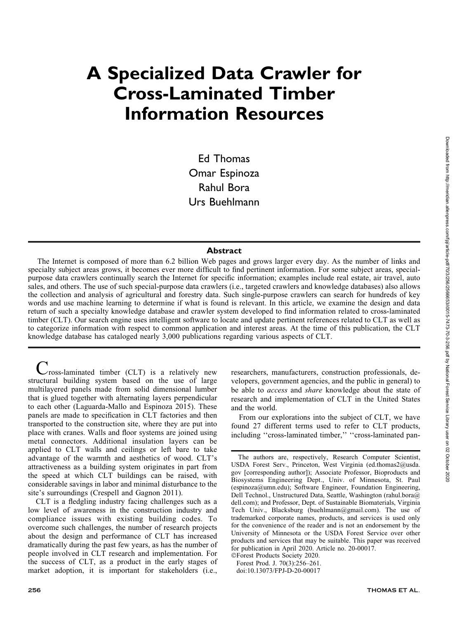# A Specialized Data Crawler for Cross-Laminated Timber Information Resources

Ed Thomas Omar Espinoza Rahul Bora Urs Buehlmann

# Abstract

The Internet is composed of more than 6.2 billion Web pages and grows larger every day. As the number of links and specialty subject areas grows, it becomes ever more difficult to find pertinent information. For some subject areas, specialpurpose data crawlers continually search the Internet for specific information; examples include real estate, air travel, auto sales, and others. The use of such special-purpose data crawlers (i.e., targeted crawlers and knowledge databases) also allows the collection and analysis of agricultural and forestry data. Such single-purpose crawlers can search for hundreds of key words and use machine learning to determine if what is found is relevant. In this article, we examine the design and data return of such a specialty knowledge database and crawler system developed to find information related to cross-laminated timber (CLT). Our search engine uses intelligent software to locate and update pertinent references related to CLT as well as to categorize information with respect to common application and interest areas. At the time of this publication, the CLT knowledge database has cataloged nearly 3,000 publications regarding various aspects of CLT.

 $\nu$  ross-laminated timber (CLT) is a relatively new structural building system based on the use of large multilayered panels made from solid dimensional lumber that is glued together with alternating layers perpendicular to each other (Laguarda-Mallo and Espinoza 2015). These panels are made to specification in CLT factories and then transported to the construction site, where they are put into place with cranes. Walls and floor systems are joined using metal connectors. Additional insulation layers can be applied to CLT walls and ceilings or left bare to take advantage of the warmth and aesthetics of wood. CLT's attractiveness as a building system originates in part from the speed at which CLT buildings can be raised, with considerable savings in labor and minimal disturbance to the site's surroundings (Crespell and Gagnon 2011).

CLT is a fledgling industry facing challenges such as a low level of awareness in the construction industry and compliance issues with existing building codes. To overcome such challenges, the number of research projects about the design and performance of CLT has increased dramatically during the past few years, as has the number of people involved in CLT research and implementation. For the success of CLT, as a product in the early stages of market adoption, it is important for stakeholders (i.e., researchers, manufacturers, construction professionals, developers, government agencies, and the public in general) to be able to access and share knowledge about the state of research and implementation of CLT in the United States and the world.

From our explorations into the subject of CLT, we have found 27 different terms used to refer to CLT products, including ''cross-laminated timber,'' ''cross-laminated pan-

-Forest Products Society 2020. Forest Prod. J. 70(3):256–261. doi:10.13073/FPJ-D-20-00017

The authors are, respectively, Research Computer Scientist, USDA Forest Serv., Princeton, West Virginia (ed.thomas2@usda. gov [corresponding author]); Associate Professor, Bioproducts and Biosystems Engineering Dept., Univ. of Minnesota, St. Paul (espinoza@umn.edu); Software Engineer, Foundation Engineering, Dell Technol., Unstructured Data, Seattle, Washington (rahul.bora@ dell.com); and Professor, Dept. of Sustainable Biomaterials, Virginia Tech Univ., Blacksburg (buehlmann@gmail.com). The use of trademarked corporate names, products, and services is used only for the convenience of the reader and is not an endorsement by the University of Minnesota or the USDA Forest Service over other products and services that may be suitable. This paper was received for publication in April 2020. Article no. 20-00017.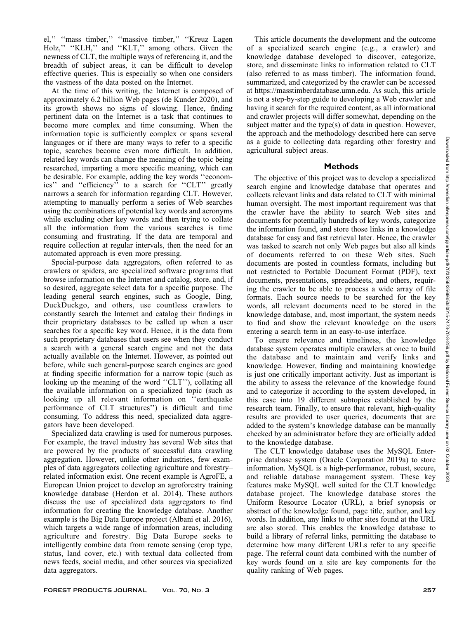el,'' ''mass timber,'' ''massive timber,'' ''Kreuz Lagen Holz," "KLH," and "KLT," among others. Given the newness of CLT, the multiple ways of referencing it, and the breadth of subject areas, it can be difficult to develop effective queries. This is especially so when one considers the vastness of the data posted on the Internet.

At the time of this writing, the Internet is composed of approximately 6.2 billion Web pages (de Kunder 2020), and its growth shows no signs of slowing. Hence, finding pertinent data on the Internet is a task that continues to become more complex and time consuming. When the information topic is sufficiently complex or spans several languages or if there are many ways to refer to a specific topic, searches become even more difficult. In addition, related key words can change the meaning of the topic being researched, imparting a more specific meaning, which can be desirable. For example, adding the key words ''economics'' and ''efficiency'' to a search for ''CLT'' greatly narrows a search for information regarding CLT. However, attempting to manually perform a series of Web searches using the combinations of potential key words and acronyms while excluding other key words and then trying to collate all the information from the various searches is time consuming and frustrating. If the data are temporal and require collection at regular intervals, then the need for an automated approach is even more pressing.

Special-purpose data aggregators, often referred to as crawlers or spiders, are specialized software programs that browse information on the Internet and catalog, store, and, if so desired, aggregate select data for a specific purpose. The leading general search engines, such as Google, Bing, DuckDuckgo, and others, use countless crawlers to constantly search the Internet and catalog their findings in their proprietary databases to be called up when a user searches for a specific key word. Hence, it is the data from such proprietary databases that users see when they conduct a search with a general search engine and not the data actually available on the Internet. However, as pointed out before, while such general-purpose search engines are good at finding specific information for a narrow topic (such as looking up the meaning of the word ''CLT''), collating all the available information on a specialized topic (such as looking up all relevant information on "earthquake performance of CLT structures'') is difficult and time consuming. To address this need, specialized data aggregators have been developed.

Specialized data crawling is used for numerous purposes. For example, the travel industry has several Web sites that are powered by the products of successful data crawling aggregation. However, unlike other industries, few examples of data aggregators collecting agriculture and forestry– related information exist. One recent example is AgroFE, a European Union project to develop an agroforestry training knowledge database (Herdon et al. 2014). These authors discuss the use of specialized data aggregators to find information for creating the knowledge database. Another example is the Big Data Europe project (Albani et al. 2016), which targets a wide range of information areas, including agriculture and forestry. Big Data Europe seeks to intelligently combine data from remote sensing (crop type, status, land cover, etc.) with textual data collected from news feeds, social media, and other sources via specialized data aggregators.

This article documents the development and the outcome of a specialized search engine (e.g., a crawler) and knowledge database developed to discover, categorize, store, and disseminate links to information related to CLT (also referred to as mass timber). The information found, summarized, and categorized by the crawler can be accessed at https://masstimberdatabase.umn.edu. As such, this article is not a step-by-step guide to developing a Web crawler and having it search for the required content, as all informational and crawler projects will differ somewhat, depending on the subject matter and the type(s) of data in question. However, the approach and the methodology described here can serve as a guide to collecting data regarding other forestry and agricultural subject areas.

## Methods

The objective of this project was to develop a specialized search engine and knowledge database that operates and collects relevant links and data related to CLT with minimal human oversight. The most important requirement was that the crawler have the ability to search Web sites and documents for potentially hundreds of key words, categorize the information found, and store those links in a knowledge database for easy and fast retrieval later. Hence, the crawler was tasked to search not only Web pages but also all kinds of documents referred to on these Web sites. Such documents are posted in countless formats, including but not restricted to Portable Document Format (PDF), text documents, presentations, spreadsheets, and others, requiring the crawler to be able to process a wide array of file formats. Each source needs to be searched for the key words, all relevant documents need to be stored in the knowledge database, and, most important, the system needs to find and show the relevant knowledge on the users entering a search term in an easy-to-use interface.

To ensure relevance and timeliness, the knowledge database system operates multiple crawlers at once to build the database and to maintain and verify links and knowledge. However, finding and maintaining knowledge is just one critically important activity. Just as important is the ability to assess the relevance of the knowledge found and to categorize it according to the system developed, in this case into 19 different subtopics established by the research team. Finally, to ensure that relevant, high-quality results are provided to user queries, documents that are added to the system's knowledge database can be manually checked by an administrator before they are officially added to the knowledge database.

The CLT knowledge database uses the MySQL Enterprise database system (Oracle Corporation 2019a) to store information. MySQL is a high-performance, robust, secure, and reliable database management system. These key features make MySQL well suited for the CLT knowledge database project. The knowledge database stores the Uniform Resource Locator (URL), a brief synopsis or abstract of the knowledge found, page title, author, and key words. In addition, any links to other sites found at the URL are also stored. This enables the knowledge database to build a library of referral links, permitting the database to determine how many different URLs refer to any specific page. The referral count data combined with the number of key words found on a site are key components for the quality ranking of Web pages.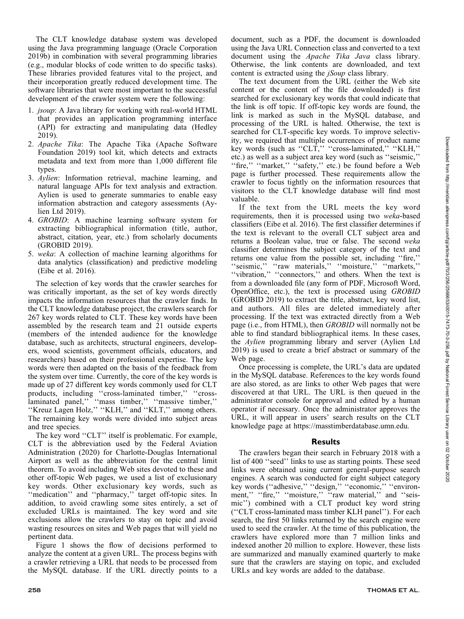The CLT knowledge database system was developed using the Java programming language (Oracle Corporation 2019b) in combination with several programming libraries (e.g., modular blocks of code written to do specific tasks). These libraries provided features vital to the project, and their incorporation greatly reduced development time. The software libraries that were most important to the successful development of the crawler system were the following:

- 1. jsoup: A Java library for working with real-world HTML that provides an application programming interface (API) for extracting and manipulating data (Hedley 2019).
- 2. Apache Tika: The Apache Tika (Apache Software Foundation 2019) tool kit, which detects and extracts metadata and text from more than 1,000 different file types.
- 3. Aylien: Information retrieval, machine learning, and natural language APIs for text analysis and extraction. Aylien is used to generate summaries to enable easy information abstraction and category assessments (Aylien Ltd 2019).
- 4. GROBID: A machine learning software system for extracting bibliographical information (title, author, abstract, citation, year, etc.) from scholarly documents (GROBID 2019).
- 5. weka: A collection of machine learning algorithms for data analytics (classification) and predictive modeling (Eibe et al. 2016).

The selection of key words that the crawler searches for was critically important, as the set of key words directly impacts the information resources that the crawler finds. In the CLT knowledge database project, the crawlers search for 267 key words related to CLT. These key words have been assembled by the research team and 21 outside experts (members of the intended audience for the knowledge database, such as architects, structural engineers, developers, wood scientists, government officials, educators, and researchers) based on their professional expertise. The key words were then adapted on the basis of the feedback from the system over time. Currently, the core of the key words is made up of 27 different key words commonly used for CLT products, including ''cross-laminated timber,'' ''crosslaminated panel,'' ''mass timber,'' ''massive timber,'' ''Kreuz Lagen Holz,'' ''KLH,'' and ''KLT,'' among others. The remaining key words were divided into subject areas and tree species.

The key word ''CLT'' itself is problematic. For example, CLT is the abbreviation used by the Federal Aviation Administration (2020) for Charlotte-Douglas International Airport as well as the abbreviation for the central limit theorem. To avoid including Web sites devoted to these and other off-topic Web pages, we used a list of exclusionary key words. Other exclusionary key words, such as ''medication'' and ''pharmacy,'' target off-topic sites. In addition, to avoid crawling some sites entirely, a set of excluded URLs is maintained. The key word and site exclusions allow the crawlers to stay on topic and avoid wasting resources on sites and Web pages that will yield no pertinent data.

Figure 1 shows the flow of decisions performed to analyze the content at a given URL. The process begins with a crawler retrieving a URL that needs to be processed from the MySQL database. If the URL directly points to a document, such as a PDF, the document is downloaded using the Java URL Connection class and converted to a text document using the Apache Tika Java class library. Otherwise, the link contents are downloaded, and text content is extracted using the *jSoup* class library.

The text document from the URL (either the Web site content or the content of the file downloaded) is first searched for exclusionary key words that could indicate that the link is off topic. If off-topic key words are found, the link is marked as such in the MySQL database, and processing of the URL is halted. Otherwise, the text is searched for CLT-specific key words. To improve selectivity, we required that multiple occurrences of product name key words (such as "CLT," "cross-laminated," "KLH," etc.) as well as a subject area key word (such as ''seismic,'' "fire," "market," "safety," etc.) be found before a Web page is further processed. These requirements allow the crawler to focus tightly on the information resources that visitors to the CLT knowledge database will find most valuable.

If the text from the URL meets the key word requirements, then it is processed using two weka-based classifiers (Eibe et al. 2016). The first classifier determines if the text is relevant to the overall CLT subject area and returns a Boolean value, true or false. The second weka classifier determines the subject category of the text and returns one value from the possible set, including ''fire,'' "seismic," "raw materials," "moisture," "markets," ''vibration,'' ''connectors,'' and others. When the text is from a downloaded file (any form of PDF, Microsoft Word, OpenOffice, etc.), the text is processed using GROBID (GROBID 2019) to extract the title, abstract, key word list, and authors. All files are deleted immediately after processing. If the text was extracted directly from a Web page (i.e., from HTML), then GROBID will normally not be able to find standard bibliographical items. In these cases, the Aylien programming library and server (Aylien Ltd 2019) is used to create a brief abstract or summary of the Web page.

Once processing is complete, the URL's data are updated in the MySQL database. References to the key words found are also stored, as are links to other Web pages that were discovered at that URL. The URL is then queued in the administrator console for approval and edited by a human operator if necessary. Once the administrator approves the URL, it will appear in users' search results on the CLT knowledge page at https://masstimberdatabase.umn.edu.

#### Results

The crawlers began their search in February 2018 with a list of 400 ''seed'' links to use as starting points. These seed links were obtained using current general-purpose search engines. A search was conducted for eight subject category key words (''adhesive,'' ''design,'' ''economic,'' ''environment," "fire," "moisture," "raw material," and "seismic'') combined with a CLT product key word string (''CLT cross-laminated mass timber KLH panel''). For each search, the first 50 links returned by the search engine were used to seed the crawler. At the time of this publication, the crawlers have explored more than 7 million links and indexed another 20 million to explore. However, these lists are summarized and manually examined quarterly to make sure that the crawlers are staying on topic, and excluded URLs and key words are added to the database.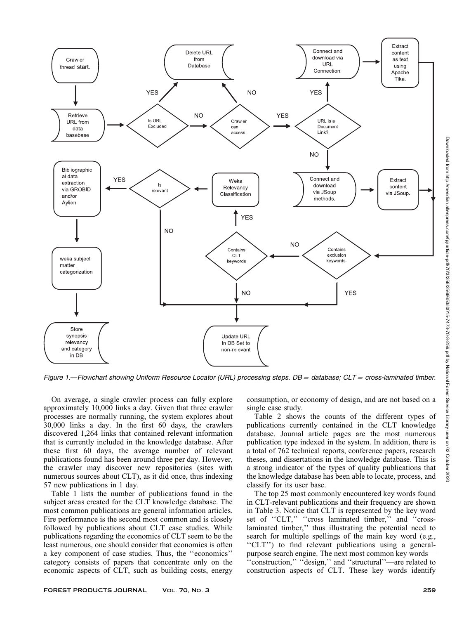

Figure 1.—Flowchart showing Uniform Resource Locator (URL) processing steps.  $DB =$  database; CLT = cross-laminated timber.

On average, a single crawler process can fully explore approximately 10,000 links a day. Given that three crawler processes are normally running, the system explores about 30,000 links a day. In the first 60 days, the crawlers discovered 1,264 links that contained relevant information that is currently included in the knowledge database. After these first 60 days, the average number of relevant publications found has been around three per day. However, the crawler may discover new repositories (sites with numerous sources about CLT), as it did once, thus indexing 57 new publications in 1 day.

Table 1 lists the number of publications found in the subject areas created for the CLT knowledge database. The most common publications are general information articles. Fire performance is the second most common and is closely followed by publications about CLT case studies. While publications regarding the economics of CLT seem to be the least numerous, one should consider that economics is often a key component of case studies. Thus, the ''economics'' category consists of papers that concentrate only on the economic aspects of CLT, such as building costs, energy

consumption, or economy of design, and are not based on a single case study.

Table 2 shows the counts of the different types of publications currently contained in the CLT knowledge database. Journal article pages are the most numerous publication type indexed in the system. In addition, there is a total of 762 technical reports, conference papers, research theses, and dissertations in the knowledge database. This is a strong indicator of the types of quality publications that the knowledge database has been able to locate, process, and classify for its user base.

The top 25 most commonly encountered key words found in CLT-relevant publications and their frequency are shown in Table 3. Notice that CLT is represented by the key word set of "CLT," "cross laminated timber," and "crosslaminated timber,'' thus illustrating the potential need to search for multiple spellings of the main key word (e.g., "CLT") to find relevant publications using a generalpurpose search engine. The next most common key words— 'construction," "design," and "structural"—are related to construction aspects of CLT. These key words identify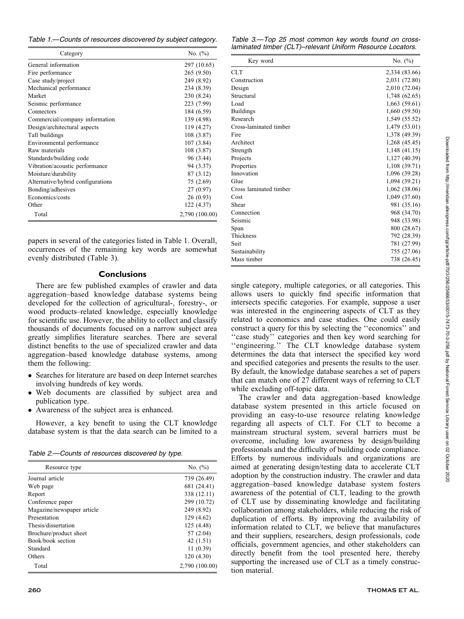Table 1.—Counts of resources discovered by subject category.

| Category                          | No. $(\% )$    |
|-----------------------------------|----------------|
| General information               | 297 (10.65)    |
| Fire performance                  | 265 (9.50)     |
| Case study/project                | 249 (8.92)     |
| Mechanical performance            | 234 (8.39)     |
| Market                            | 230 (8.24)     |
| Seismic performance               | 223 (7.99)     |
| Connectors                        | 184 (6.59)     |
| Commercial/company information    | 139 (4.98)     |
| Design/architectural aspects      | 119 (4.27)     |
| Tall buildings                    | 108 (3.87)     |
| Environmental performance         | 107(3.84)      |
| Raw materials                     | 108 (3.87)     |
| Standards/building code           | 96 (3.44)      |
| Vibration/acoustic performance    | 94 (3.37)      |
| Moisture/durability               | 87 (3.12)      |
| Alternative/hybrid configurations | 75 (2.69)      |
| Bonding/adhesives                 | 27 (0.97)      |
| Economics/costs                   | 26(0.93)       |
| Other                             | 122 (4.37)     |
| Total                             | 2,790 (100.00) |

papers in several of the categories listed in Table 1. Overall, occurrences of the remaining key words are somewhat evenly distributed (Table 3).

# **Conclusions**

There are few published examples of crawler and data aggregation–based knowledge database systems being developed for the collection of agricultural-, forestry-, or wood products–related knowledge, especially knowledge for scientific use. However, the ability to collect and classify thousands of documents focused on a narrow subject area greatly simplifies literature searches. There are several distinct benefits to the use of specialized crawler and data aggregation–based knowledge database systems, among them the following:

- Searches for literature are based on deep Internet searches involving hundreds of key words.
- Web documents are classified by subject area and publication type.
- Awareness of the subject area is enhanced.

However, a key benefit to using the CLT knowledge database system is that the data search can be limited to a

Table 2.—Counts of resources discovered by type.

| Resource type              | No. $(\% )$    |  |  |  |  |
|----------------------------|----------------|--|--|--|--|
| Journal article            | 739 (26.49)    |  |  |  |  |
| Web page                   | 681 (24.41)    |  |  |  |  |
| Report                     | 338 (12.11)    |  |  |  |  |
| Conference paper           | 299 (10.72)    |  |  |  |  |
| Magazine/newspaper article | 249 (8.92)     |  |  |  |  |
| Presentation               | 129 (4.62)     |  |  |  |  |
| Thesis/dissertation        | 125 (4.48)     |  |  |  |  |
| Brochure/product sheet     | 57(2.04)       |  |  |  |  |
| Book/book section          | 42 $(1.51)$    |  |  |  |  |
| Standard                   | 11(0.39)       |  |  |  |  |
| Others                     | 120(4.30)      |  |  |  |  |
| Total                      | 2,790 (100.00) |  |  |  |  |

|  |  | Table 3.—Top 25 most common key words found on cross-      |  |  |  |
|--|--|------------------------------------------------------------|--|--|--|
|  |  | laminated timber (CLT)-relevant Uniform Resource Locators. |  |  |  |

| Key word               | No. $(\% )$   |
|------------------------|---------------|
| <b>CLT</b>             | 2,334 (83.66) |
| Construction           | 2,031 (72.80) |
| Design                 | 2,010 (72.04) |
| Structural             | 1,748 (62.65) |
| Load                   | 1,663 (59.61) |
| <b>Buildings</b>       | 1,660 (59.50) |
| Research               | 1,549 (55.52) |
| Cross-laminated timber | 1,479 (53.01) |
| Fire                   | 1,378 (49.39) |
| Architect              | 1,268 (45.45) |
| Strength               | 1,148 (41.15) |
| Projects               | 1,127 (40.39) |
| Properties             | 1,108 (39.71) |
| Innovation             | 1,096 (39.28) |
| Glue                   | 1,094 (39.21) |
| Cross laminated timber | 1,062 (38.06) |
| Cost                   | 1,049 (37.60) |
| Shear                  | 981 (35.16)   |
| Connection             | 968 (34.70)   |
| Seismic                | 948 (33.98)   |
| Span                   | 800 (28.67)   |
| Thickness              | 792 (28.39)   |
| Suit                   | 781 (27.99)   |
| Sustainability         | 755 (27.06)   |
| Mass timber            | 738 (26.45)   |

single category, multiple categories, or all categories. This allows users to quickly find specific information that intersects specific categories. For example, suppose a user was interested in the engineering aspects of CLT as they related to economics and case studies. One could easily construct a query for this by selecting the ''economics'' and "case study" categories and then key word searching for ''engineering.'' The CLT knowledge database system determines the data that intersect the specified key word and specified categories and presents the results to the user. By default, the knowledge database searches a set of papers that can match one of 27 different ways of referring to CLT while excluding off-topic data.

The crawler and data aggregation–based knowledge database system presented in this article focused on providing an easy-to-use resource relating knowledge regarding all aspects of CLT. For CLT to become a mainstream structural system, several barriers must be overcome, including low awareness by design/building professionals and the difficulty of building code compliance. Efforts by numerous individuals and organizations are aimed at generating design/testing data to accelerate CLT adoption by the construction industry. The crawler and data aggregation–based knowledge database system fosters awareness of the potential of CLT, leading to the growth of CLT use by disseminating knowledge and facilitating collaboration among stakeholders, while reducing the risk of duplication of efforts. By improving the availability of information related to CLT, we believe that manufactures and their suppliers, researchers, design professionals, code officials, government agencies, and other stakeholders can directly benefit from the tool presented here, thereby supporting the increased use of CLT as a timely construction material.